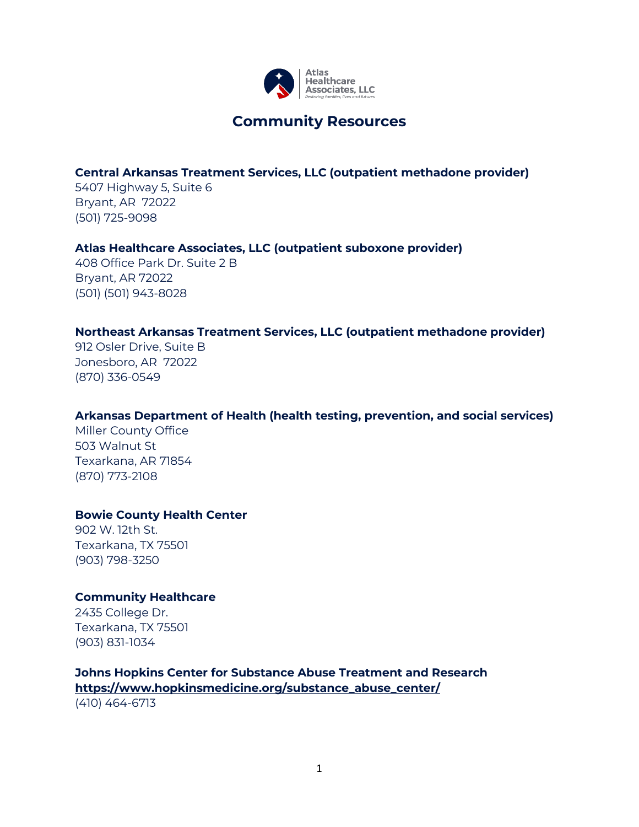

**Community Resources**

#### **Central Arkansas Treatment Services, LLC (outpatient methadone provider)**

5407 Highway 5, Suite 6 Bryant, AR 72022 (501) 725-9098

#### **Atlas Healthcare Associates, LLC (outpatient suboxone provider)**

408 Office Park Dr. Suite 2 B Bryant, AR 72022 (501) (501) 943-8028

#### **Northeast Arkansas Treatment Services, LLC (outpatient methadone provider)**

912 Osler Drive, Suite B Jonesboro, AR 72022 (870) 336-0549

### **Arkansas Department of Health (health testing, prevention, and social services)**

Miller County Office 503 Walnut St Texarkana, AR 71854 [\(870\) 773-2108](tel:8707732108)

#### **Bowie County Health Center**

902 W. 12th St. Texarkana, TX 75501 (903) 798-3250

#### **Community Healthcare**

2435 College Dr. Texarkana, TX 75501 (903) 831-1034

# **Johns Hopkins Center for Substance Abuse Treatment and Research**

**https://www.hopkinsmedicine.org/substance\_abuse\_center/** (410) 464-6713